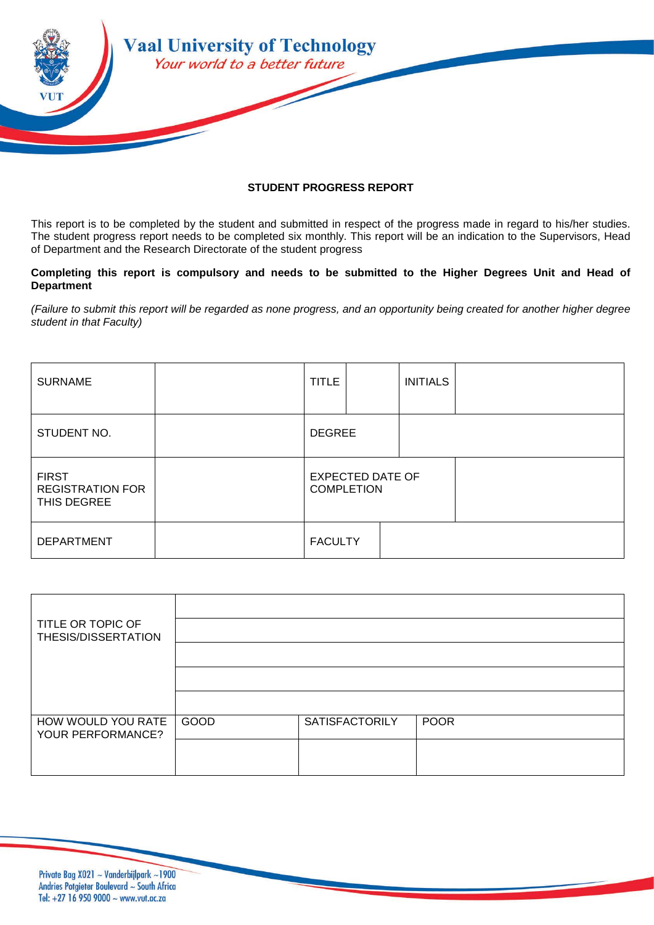

## **STUDENT PROGRESS REPORT**

This report is to be completed by the student and submitted in respect of the progress made in regard to his/her studies. The student progress report needs to be completed six monthly. This report will be an indication to the Supervisors, Head of Department and the Research Directorate of the student progress

## **Completing this report is compulsory and needs to be submitted to the Higher Degrees Unit and Head of Department**

*(Failure to submit this report will be regarded as none progress, and an opportunity being created for another higher degree student in that Faculty)*

| <b>SURNAME</b>                                         | <b>TITLE</b>                                 |  | <b>INITIALS</b> |  |
|--------------------------------------------------------|----------------------------------------------|--|-----------------|--|
| STUDENT NO.                                            | <b>DEGREE</b>                                |  |                 |  |
| <b>FIRST</b><br><b>REGISTRATION FOR</b><br>THIS DEGREE | <b>EXPECTED DATE OF</b><br><b>COMPLETION</b> |  |                 |  |
| <b>DEPARTMENT</b>                                      | <b>FACULTY</b>                               |  |                 |  |

| TITLE OR TOPIC OF                       |      |                       |             |
|-----------------------------------------|------|-----------------------|-------------|
| THESIS/DISSERTATION                     |      |                       |             |
|                                         |      |                       |             |
|                                         |      |                       |             |
|                                         |      |                       |             |
| HOW WOULD YOU RATE<br>YOUR PERFORMANCE? | GOOD | <b>SATISFACTORILY</b> | <b>POOR</b> |
|                                         |      |                       |             |
|                                         |      |                       |             |

Private Bag X021 ~ Vanderbijlpark ~1900 Andries Potgieter Boulevard ~ South Africa Tel: +27 16 950 9000  $\sim$  www.vut.ac.za